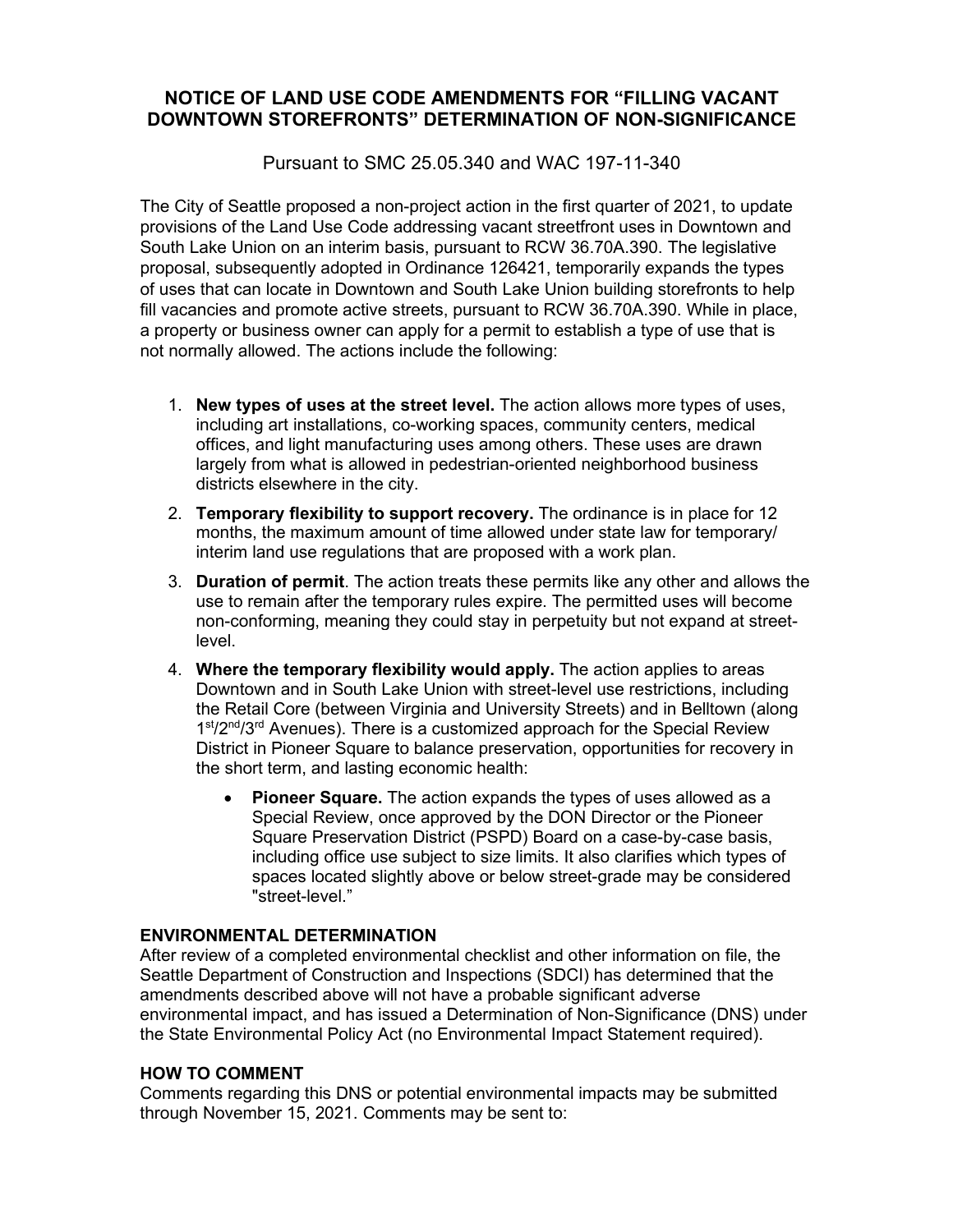# **NOTICE OF LAND USE CODE AMENDMENTS FOR "FILLING VACANT DOWNTOWN STOREFRONTS" DETERMINATION OF NON-SIGNIFICANCE**

Pursuant to SMC 25.05.340 and WAC 197-11-340

The City of Seattle proposed a non-project action in the first quarter of 2021, to update provisions of the Land Use Code addressing vacant streetfront uses in Downtown and South Lake Union on an interim basis, pursuant to RCW 36.70A.390. The legislative proposal, subsequently adopted in Ordinance 126421, temporarily expands the types of uses that can locate in Downtown and South Lake Union building storefronts to help fill vacancies and promote active streets, pursuant to RCW 36.70A.390. While in place, a property or business owner can apply for a permit to establish a type of use that is not normally allowed. The actions include the following:

- 1. **New types of uses at the street level.** The action allows more types of uses, including art installations, co-working spaces, community centers, medical offices, and light manufacturing uses among others. These uses are drawn largely from what is allowed in pedestrian-oriented neighborhood business districts elsewhere in the city.
- 2. **Temporary flexibility to support recovery.** The ordinance is in place for 12 months, the maximum amount of time allowed under state law for temporary/ interim land use regulations that are proposed with a work plan.
- 3. **Duration of permit**. The action treats these permits like any other and allows the use to remain after the temporary rules expire. The permitted uses will become non-conforming, meaning they could stay in perpetuity but not expand at streetlevel.
- 4. **Where the temporary flexibility would apply.** The action applies to areas Downtown and in South Lake Union with street-level use restrictions, including the Retail Core (between Virginia and University Streets) and in Belltown (along 1<sup>st</sup>/2<sup>nd</sup>/3<sup>rd</sup> Avenues). There is a customized approach for the Special Review District in Pioneer Square to balance preservation, opportunities for recovery in the short term, and lasting economic health:
	- **Pioneer Square.** The action expands the types of uses allowed as a Special Review, once approved by the DON Director or the Pioneer Square Preservation District (PSPD) Board on a case-by-case basis, including office use subject to size limits. It also clarifies which types of spaces located slightly above or below street-grade may be considered "street-level."

# **ENVIRONMENTAL DETERMINATION**

After review of a completed environmental checklist and other information on file, the Seattle Department of Construction and Inspections (SDCI) has determined that the amendments described above will not have a probable significant adverse environmental impact, and has issued a Determination of Non-Significance (DNS) under the State Environmental Policy Act (no Environmental Impact Statement required).

# **HOW TO COMMENT**

Comments regarding this DNS or potential environmental impacts may be submitted through November 15, 2021. Comments may be sent to: